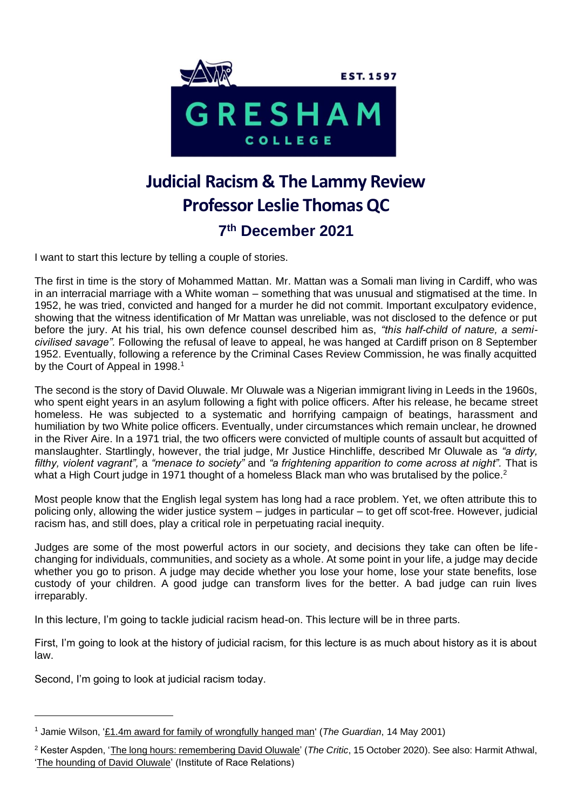

# **Judicial Racism & The Lammy Review Professor Leslie Thomas QC 7 th December 2021**

I want to start this lecture by telling a couple of stories.

The first in time is the story of Mohammed Mattan. Mr. Mattan was a Somali man living in Cardiff, who was in an interracial marriage with a White woman – something that was unusual and stigmatised at the time. In 1952, he was tried, convicted and hanged for a murder he did not commit. Important exculpatory evidence, showing that the witness identification of Mr Mattan was unreliable, was not disclosed to the defence or put before the jury. At his trial, his own defence counsel described him as, *"this half-child of nature, a semicivilised savage".* Following the refusal of leave to appeal, he was hanged at Cardiff prison on 8 September 1952. Eventually, following a reference by the Criminal Cases Review Commission, he was finally acquitted by the Court of Appeal in 1998.<sup>1</sup>

The second is the story of David Oluwale. Mr Oluwale was a Nigerian immigrant living in Leeds in the 1960s, who spent eight years in an asylum following a fight with police officers. After his release, he became street homeless. He was subjected to a systematic and horrifying campaign of beatings, harassment and humiliation by two White police officers. Eventually, under circumstances which remain unclear, he drowned in the River Aire. In a 1971 trial, the two officers were convicted of multiple counts of assault but acquitted of manslaughter. Startlingly, however, the trial judge, Mr Justice Hinchliffe, described Mr Oluwale as *"a dirty, filthy, violent vagrant",* a *"menace to society"* and *"a frightening apparition to come across at night".* That is what a High Court judge in 1971 thought of a homeless Black man who was brutalised by the police.<sup>2</sup>

Most people know that the English legal system has long had a race problem. Yet, we often attribute this to policing only, allowing the wider justice system – judges in particular – to get off scot-free. However, judicial racism has, and still does, play a critical role in perpetuating racial inequity.

Judges are some of the most powerful actors in our society, and decisions they take can often be lifechanging for individuals, communities, and society as a whole. At some point in your life, a judge may decide whether you go to prison. A judge may decide whether you lose your home, lose your state benefits, lose custody of your children. A good judge can transform lives for the better. A bad judge can ruin lives irreparably.

In this lecture, I'm going to tackle judicial racism head-on. This lecture will be in three parts.

First, I'm going to look at the history of judicial racism, for this lecture is as much about history as it is about law.

Second, I'm going to look at judicial racism today.

<sup>1</sup> Jamie Wilson, ['£1.4m award for family of wrongfully hanged man'](https://www.theguardian.com/uk/2001/may/14/jamiewilson) (*The Guardian*, 14 May 2001)

<sup>2</sup> Kester Aspden, ['The long hours: remembering David Oluwale'](https://thecritic.co.uk/the-long-hours-remembering-david-oluwale/) (*The Critic*, 15 October 2020). See also: Harmit Athwal, ['The hounding of David Oluwale'](https://irr.org.uk/article/the-hounding-of-david-oluwale/) (Institute of Race Relations)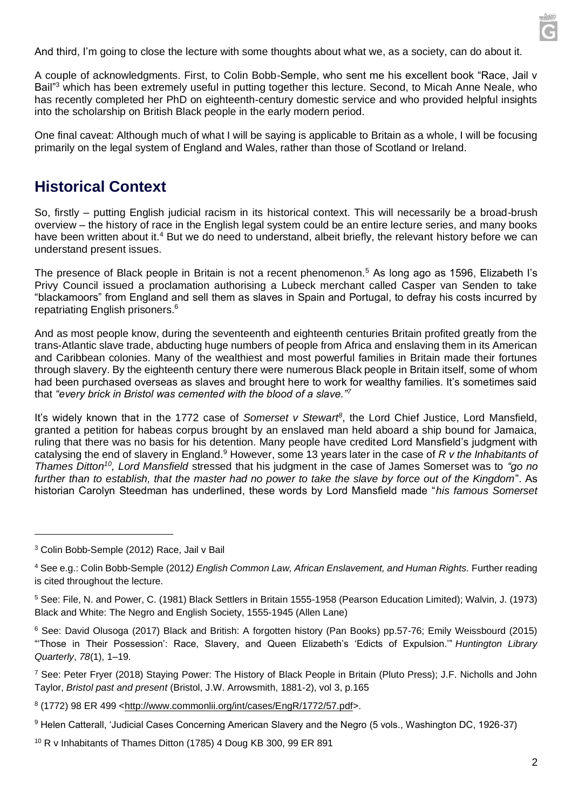And third, I'm going to close the lecture with some thoughts about what we, as a society, can do about it.

A couple of acknowledgments. First, to Colin Bobb-Semple, who sent me his excellent book "Race, Jail v Bail"<sup>3</sup> which has been extremely useful in putting together this lecture. Second, to Micah Anne Neale, who has recently completed her PhD on eighteenth-century domestic service and who provided helpful insights into the scholarship on British Black people in the early modern period.

One final caveat: Although much of what I will be saying is applicable to Britain as a whole, I will be focusing primarily on the legal system of England and Wales, rather than those of Scotland or Ireland.

## **Historical Context**

So, firstly – putting English judicial racism in its historical context. This will necessarily be a broad-brush overview – the history of race in the English legal system could be an entire lecture series, and many books have been written about it.<sup>4</sup> But we do need to understand, albeit briefly, the relevant history before we can understand present issues.

The presence of Black people in Britain is not a recent phenomenon.<sup>5</sup> As long ago as 1596, Elizabeth I's Privy Council issued a proclamation authorising a Lubeck merchant called Casper van Senden to take "blackamoors" from England and sell them as slaves in Spain and Portugal, to defray his costs incurred by repatriating English prisoners.<sup>6</sup>

And as most people know, during the seventeenth and eighteenth centuries Britain profited greatly from the trans-Atlantic slave trade, abducting huge numbers of people from Africa and enslaving them in its American and Caribbean colonies. Many of the wealthiest and most powerful families in Britain made their fortunes through slavery. By the eighteenth century there were numerous Black people in Britain itself, some of whom had been purchased overseas as slaves and brought here to work for wealthy families. It's sometimes said that *"every brick in Bristol was cemented with the blood of a slave."<sup>7</sup>*

It's widely known that in the 1772 case of *Somerset v Stewart<sup>8</sup>*, the Lord Chief Justice, Lord Mansfield, granted a petition for habeas corpus brought by an enslaved man held aboard a ship bound for Jamaica, ruling that there was no basis for his detention. Many people have credited Lord Mansfield's judgment with catalysing the end of slavery in England.<sup>9</sup> However, some 13 years later in the case of *R v the Inhabitants of Thames Ditton<sup>10</sup>, Lord Mansfield* stressed that his judgment in the case of James Somerset was to *"go no further than to establish, that the master had no power to take the slave by force out of the Kingdom*". As historian Carolyn Steedman has underlined, these words by Lord Mansfield made "*his famous Somerset* 

<sup>3</sup> Colin Bobb-Semple (2012) Race, Jail v Bail

<sup>4</sup> See e.g.: Colin Bobb-Semple (2012*) English Common Law, African Enslavement, and Human Rights.* Further reading is cited throughout the lecture.

<sup>5</sup> See: File, N. and Power, C. (1981) Black Settlers in Britain 1555-1958 (Pearson Education Limited); Walvin, J. (1973) Black and White: The Negro and English Society, 1555-1945 (Allen Lane)

<sup>6</sup> See: David Olusoga (2017) Black and British: A forgotten history (Pan Books) pp.57-76; Emily Weissbourd (2015) "'Those in Their Possession': Race, Slavery, and Queen Elizabeth's 'Edicts of Expulsion.'" *Huntington Library Quarterly*, *78*(1), 1–19.

<sup>7</sup> See: Peter Fryer (2018) Staying Power: The History of Black People in Britain (Pluto Press); J.F. Nicholls and John Taylor, *Bristol past and present* (Bristol, J.W. Arrowsmith, 1881-2), vol 3, p.165

<sup>8 (1772) 98</sup> ER 499 [<http://www.commonlii.org/int/cases/EngR/1772/57.pdf>](http://www.commonlii.org/int/cases/EngR/1772/57.pdf).

<sup>9</sup> Helen Catterall, 'Judicial Cases Concerning American Slavery and the Negro (5 vols., Washington DC, 1926-37)

<sup>10</sup> R v Inhabitants of Thames Ditton (1785) 4 Doug KB 300, 99 ER 891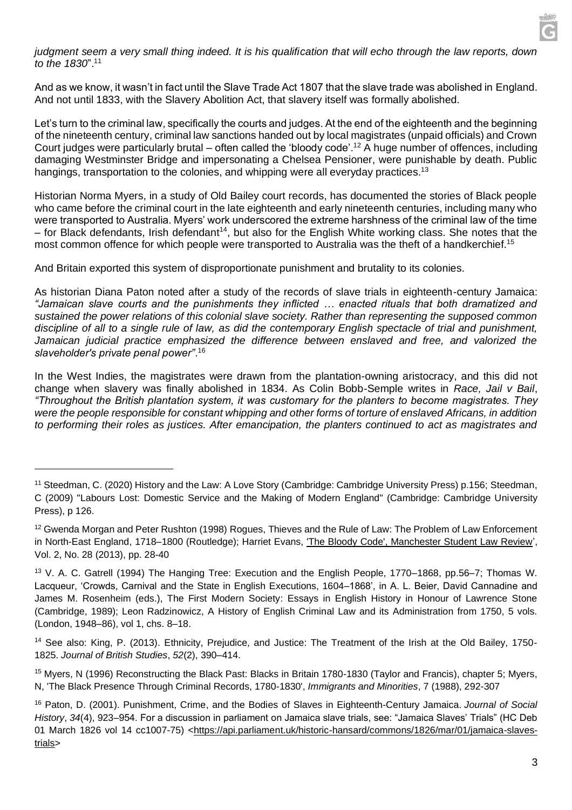#### *judgment seem a very small thing indeed. It is his qualification that will echo through the law reports, down to the 1830*".<sup>11</sup>

And as we know, it wasn't in fact until the Slave Trade Act 1807 that the slave trade was abolished in England. And not until 1833, with the Slavery Abolition Act, that slavery itself was formally abolished.

Let's turn to the criminal law, specifically the courts and judges. At the end of the eighteenth and the beginning of the nineteenth century, criminal law sanctions handed out by local magistrates (unpaid officials) and Crown Court judges were particularly brutal – often called the 'bloody code'.<sup>12</sup> A huge number of offences, including damaging Westminster Bridge and impersonating a Chelsea Pensioner, were punishable by death. Public hangings, transportation to the colonies, and whipping were all everyday practices.<sup>13</sup>

Historian Norma Myers, in a study of Old Bailey court records, has documented the stories of Black people who came before the criminal court in the late eighteenth and early nineteenth centuries, including many who were transported to Australia. Myers' work underscored the extreme harshness of the criminal law of the time – for Black defendants, Irish defendant<sup>14</sup>, but also for the English White working class. She notes that the most common offence for which people were transported to Australia was the theft of a handkerchief.<sup>15</sup>

And Britain exported this system of disproportionate punishment and brutality to its colonies.

As historian Diana Paton noted after a study of the records of slave trials in eighteenth-century Jamaica: *"Jamaican slave courts and the punishments they inflicted … enacted rituals that both dramatized and sustained the power relations of this colonial slave society. Rather than representing the supposed common discipline of all to a single rule of law, as did the contemporary English spectacle of trial and punishment, Jamaican judicial practice emphasized the difference between enslaved and free, and valorized the slaveholder's private penal power"*. 16

In the West Indies, the magistrates were drawn from the plantation-owning aristocracy, and this did not change when slavery was finally abolished in 1834. As Colin Bobb-Semple writes in *Race, Jail v Bail*, *"Throughout the British plantation system, it was customary for the planters to become magistrates. They were the people responsible for constant whipping and other forms of torture of enslaved Africans, in addition to performing their roles as justices. After emancipation, the planters continued to act as magistrates and* 

<sup>11</sup> Steedman, C. (2020) History and the Law: A Love Story (Cambridge: Cambridge University Press) p.156; Steedman, C (2009) "Labours Lost: Domestic Service and the Making of Modern England" (Cambridge: Cambridge University Press), p 126.

<sup>12</sup> Gwenda Morgan and Peter Rushton (1998) Rogues, Thieves and the Rule of Law: The Problem of Law Enforcement in North-East England, 1718–1800 (Routledge); Harriet Evans, ['The Bloody Code', Manchester Student Law Review'](https://hummedia.manchester.ac.uk/schools/law/main/research/MSLR_Vol2_3(Evans).pdf), Vol. 2, No. 28 (2013), pp. 28-40

<sup>13</sup> V. A. C. Gatrell (1994) The Hanging Tree: Execution and the English People, 1770–1868, pp.56–7; Thomas W. Lacqueur, 'Crowds, Carnival and the State in English Executions, 1604–1868', in A. L. Beier, David Cannadine and James M. Rosenheim (eds.), The First Modern Society: Essays in English History in Honour of Lawrence Stone (Cambridge, 1989); Leon Radzinowicz, A History of English Criminal Law and its Administration from 1750, 5 vols. (London, 1948–86), vol 1, chs. 8–18.

<sup>14</sup> See also: King, P. (2013). Ethnicity, Prejudice, and Justice: The Treatment of the Irish at the Old Bailey, 1750- 1825. *Journal of British Studies*, *52*(2), 390–414.

<sup>15</sup> Myers, N (1996) Reconstructing the Black Past: Blacks in Britain 1780-1830 (Taylor and Francis), chapter 5; Myers, N, 'The Black Presence Through Criminal Records, 1780-1830', *Immigrants and Minorities*, 7 (1988), 292-307

<sup>16</sup> Paton, D. (2001). Punishment, Crime, and the Bodies of Slaves in Eighteenth-Century Jamaica. *Journal of Social History*, *34*(4), 923–954. For a discussion in parliament on Jamaica slave trials, see: "Jamaica Slaves' Trials" (HC Deb 01 March 1826 vol 14 cc1007-75) [<https://api.parliament.uk/historic-hansard/commons/1826/mar/01/jamaica-slaves](https://api.parliament.uk/historic-hansard/commons/1826/mar/01/jamaica-slaves-trials)[trials>](https://api.parliament.uk/historic-hansard/commons/1826/mar/01/jamaica-slaves-trials)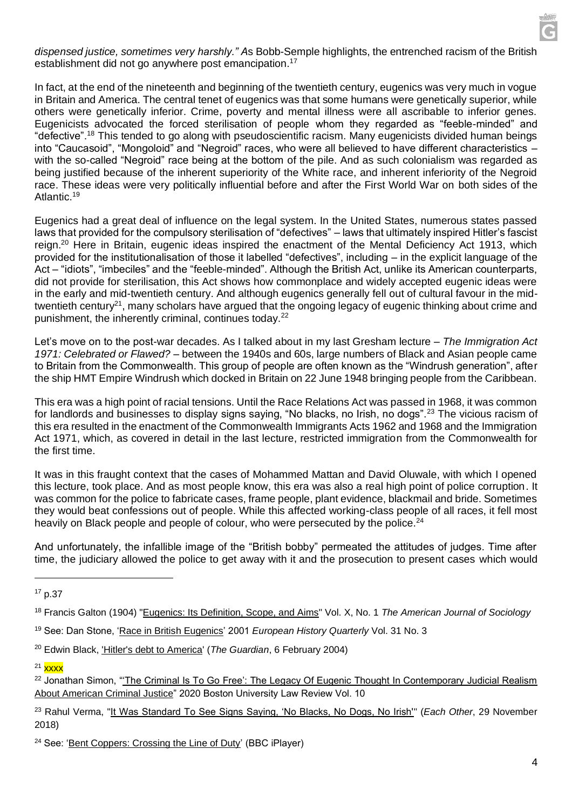

*dispensed justice, sometimes very harshly." A*s Bobb-Semple highlights, the entrenched racism of the British establishment did not go anywhere post emancipation.<sup>17</sup>

In fact, at the end of the nineteenth and beginning of the twentieth century, eugenics was very much in vogue in Britain and America. The central tenet of eugenics was that some humans were genetically superior, while others were genetically inferior. Crime, poverty and mental illness were all ascribable to inferior genes. Eugenicists advocated the forced sterilisation of people whom they regarded as "feeble-minded" and "defective".<sup>18</sup> This tended to go along with pseudoscientific racism. Many eugenicists divided human beings into "Caucasoid", "Mongoloid" and "Negroid" races, who were all believed to have different characteristics – with the so-called "Negroid" race being at the bottom of the pile. And as such colonialism was regarded as being justified because of the inherent superiority of the White race, and inherent inferiority of the Negroid race. These ideas were very politically influential before and after the First World War on both sides of the Atlantic.<sup>19</sup>

Eugenics had a great deal of influence on the legal system. In the United States, numerous states passed laws that provided for the compulsory sterilisation of "defectives" – laws that ultimately inspired Hitler's fascist reign.<sup>20</sup> Here in Britain, eugenic ideas inspired the enactment of the Mental Deficiency Act 1913, which provided for the institutionalisation of those it labelled "defectives", including – in the explicit language of the Act – "idiots", "imbeciles" and the "feeble-minded". Although the British Act, unlike its American counterparts, did not provide for sterilisation, this Act shows how commonplace and widely accepted eugenic ideas were in the early and mid-twentieth century. And although eugenics generally fell out of cultural favour in the midtwentieth century<sup>21</sup>, many scholars have argued that the ongoing legacy of eugenic thinking about crime and punishment, the inherently criminal, continues today.<sup>22</sup>

Let's move on to the post-war decades. As I talked about in my last Gresham lecture – *The Immigration Act 1971: Celebrated or Flawed? –* between the 1940s and 60s, large numbers of Black and Asian people came to Britain from the Commonwealth. This group of people are often known as the "Windrush generation", after the ship HMT Empire Windrush which docked in Britain on 22 June 1948 bringing people from the Caribbean.

This era was a high point of racial tensions. Until the Race Relations Act was passed in 1968, it was common for landlords and businesses to display signs saying, "No blacks, no Irish, no dogs".<sup>23</sup> The vicious racism of this era resulted in the enactment of the Commonwealth Immigrants Acts 1962 and 1968 and the Immigration Act 1971, which, as covered in detail in the last lecture, restricted immigration from the Commonwealth for the first time.

It was in this fraught context that the cases of Mohammed Mattan and David Oluwale, with which I opened this lecture, took place. And as most people know, this era was also a real high point of police corruption. It was common for the police to fabricate cases, frame people, plant evidence, blackmail and bride. Sometimes they would beat confessions out of people. While this affected working-class people of all races, it fell most heavily on Black people and people of colour, who were persecuted by the police.<sup>24</sup>

And unfortunately, the infallible image of the "British bobby" permeated the attitudes of judges. Time after time, the judiciary allowed the police to get away with it and the prosecution to present cases which would

<sup>17</sup> p.37

<sup>18</sup> Francis Galton (1904) ["Eugenics: Its Definition, Scope, and Aims"](https://www.journals.uchicago.edu/doi/pdfplus/10.1086/211280) Vol. X, No. 1 *The American Journal of Sociology*

<sup>19</sup> See: Dan Stone, ['Race in British Eugenics'](https://library.fes.de/libalt/journals/swetsfulltext/12573678.pdf) 2001 *European History Quarterly* Vol. 31 No. 3

<sup>20</sup> Edwin Black, ['Hitler's debt to America'](https://www.theguardian.com/uk/2004/feb/06/race.usa) (*The Guardian*, 6 February 2004)

 $21$  xxxx

<sup>&</sup>lt;sup>22</sup> Jonathan Simon, "The Criminal Is To Go Free': The Legacy Of Eugenic Thought In Contemporary Judicial Realism [About American Criminal Justice"](https://www.bu.edu/bulawreview/files/2020/05/02-SIMON.pdf) 2020 Boston University Law Review Vol. 10

<sup>23</sup> Rahul Verma, ["It Was Standard To See Signs Saying, 'No Blacks, No Dogs, No Irish'"](https://eachother.org.uk/racism-1960s-britain/) (*Each Other*, 29 November 2018)

<sup>24</sup> See: ['Bent Coppers: Crossing the Line of Duty'](https://www.bbc.co.uk/iplayer/episode/m000v4h4/bent-coppers-crossing-the-line-of-duty-series-1-1-firm-in-a-firm) (BBC iPlayer)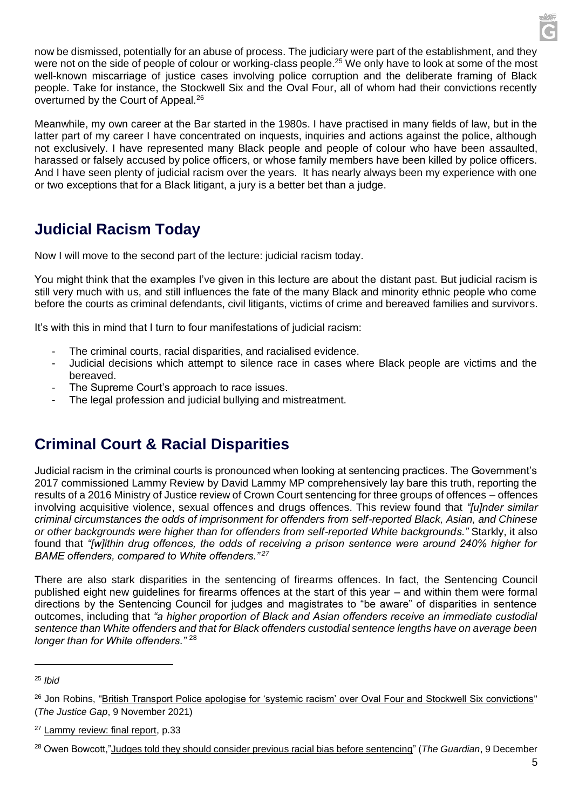now be dismissed, potentially for an abuse of process. The judiciary were part of the establishment, and they were not on the side of people of colour or working-class people.<sup>25</sup> We only have to look at some of the most well-known miscarriage of justice cases involving police corruption and the deliberate framing of Black people. Take for instance, the Stockwell Six and the Oval Four, all of whom had their convictions recently overturned by the Court of Appeal.<sup>26</sup>

Meanwhile, my own career at the Bar started in the 1980s. I have practised in many fields of law, but in the latter part of my career I have concentrated on inquests, inquiries and actions against the police, although not exclusively. I have represented many Black people and people of colour who have been assaulted, harassed or falsely accused by police officers, or whose family members have been killed by police officers. And I have seen plenty of judicial racism over the years. It has nearly always been my experience with one or two exceptions that for a Black litigant, a jury is a better bet than a judge.

### **Judicial Racism Today**

Now I will move to the second part of the lecture: judicial racism today.

You might think that the examples I've given in this lecture are about the distant past. But judicial racism is still very much with us, and still influences the fate of the many Black and minority ethnic people who come before the courts as criminal defendants, civil litigants, victims of crime and bereaved families and survivors.

It's with this in mind that I turn to four manifestations of judicial racism:

- The criminal courts, racial disparities, and racialised evidence.
- Judicial decisions which attempt to silence race in cases where Black people are victims and the bereaved.
- The Supreme Court's approach to race issues.
- The legal profession and judicial bullying and mistreatment.

### **Criminal Court & Racial Disparities**

Judicial racism in the criminal courts is pronounced when looking at sentencing practices. The Government's 2017 commissioned Lammy Review by David Lammy MP comprehensively lay bare this truth, reporting the results of a 2016 Ministry of Justice review of Crown Court sentencing for three groups of offences – offences involving acquisitive violence, sexual offences and drugs offences. This review found that *"[u]nder similar criminal circumstances the odds of imprisonment for offenders from self-reported Black, Asian, and Chinese or other backgrounds were higher than for offenders from self-reported White backgrounds."* Starkly, it also found that *"[w]ithin drug offences, the odds of receiving a prison sentence were around 240% higher for BAME offenders, compared to White offenders." <sup>27</sup>*

There are also stark disparities in the sentencing of firearms offences. In fact, the Sentencing Council published eight new guidelines for firearms offences at the start of this year – and within them were formal directions by the Sentencing Council for judges and magistrates to "be aware" of disparities in sentence outcomes, including that *"a higher proportion of Black and Asian offenders receive an immediate custodial sentence than White offenders and that for Black offenders custodial sentence lengths have on average been longer than for White offenders."* <sup>28</sup>

<sup>25</sup> *Ibid*

<sup>&</sup>lt;sup>26</sup> Jon Robins, ["British Transport Police apologise for 'systemic racism' over Oval Four and Stockwell Six convictions"](https://www.thejusticegap.com/british-transport-police-apologise-for-systemic-racism-over-oval-four-and-stockwell-six-convictions/) (*The Justice Gap*, 9 November 2021)

<sup>&</sup>lt;sup>27</sup> [Lammy review: final report,](https://assets.publishing.service.gov.uk/government/uploads/system/uploads/attachment_data/file/643001/lammy-review-final-report.pdf) p.33

<sup>28</sup> Owen Bowcott,["Judges told they should consider previous racial bias before sentencing"](https://www.theguardian.com/law/2020/dec/09/judges-told-they-should-consider-previous-racial-bias-before-sentencing) (*The Guardian*, 9 December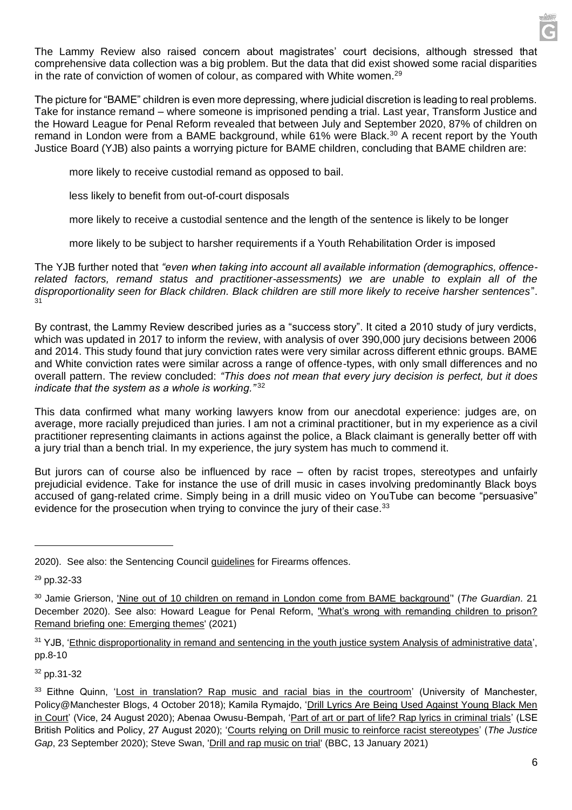The Lammy Review also raised concern about magistrates' court decisions, although stressed that comprehensive data collection was a big problem. But the data that did exist showed some racial disparities in the rate of conviction of women of colour, as compared with White women. $29$ 

The picture for "BAME" children is even more depressing, where judicial discretion is leading to real problems. Take for instance remand – where someone is imprisoned pending a trial. Last year, Transform Justice and the Howard League for Penal Reform revealed that between July and September 2020, 87% of children on remand in London were from a BAME background, while 61% were Black.<sup>30</sup> A recent report by the Youth Justice Board (YJB) also paints a worrying picture for BAME children, concluding that BAME children are:

more likely to receive custodial remand as opposed to bail.

less likely to benefit from out-of-court disposals

more likely to receive a custodial sentence and the length of the sentence is likely to be longer

more likely to be subject to harsher requirements if a Youth Rehabilitation Order is imposed

The YJB further noted that *"even when taking into account all available information (demographics, offencerelated factors, remand status and practitioner-assessments) we are unable to explain all of the disproportionality seen for Black children. Black children are still more likely to receive harsher sentences*". 31

By contrast, the Lammy Review described juries as a "success story". It cited a 2010 study of jury verdicts, which was updated in 2017 to inform the review, with analysis of over 390,000 jury decisions between 2006 and 2014. This study found that jury conviction rates were very similar across different ethnic groups. BAME and White conviction rates were similar across a range of offence-types, with only small differences and no overall pattern. The review concluded: *"This does not mean that every jury decision is perfect, but it does indicate that the system as a whole is working."* <sup>32</sup>

This data confirmed what many working lawyers know from our anecdotal experience: judges are, on average, more racially prejudiced than juries. I am not a criminal practitioner, but in my experience as a civil practitioner representing claimants in actions against the police, a Black claimant is generally better off with a jury trial than a bench trial. In my experience, the jury system has much to commend it.

But jurors can of course also be influenced by race – often by racist tropes, stereotypes and unfairly prejudicial evidence. Take for instance the use of drill music in cases involving predominantly Black boys accused of gang-related crime. Simply being in a drill music video on YouTube can become "persuasive" evidence for the prosecution when trying to convince the jury of their case.<sup>33</sup>

<sup>31</sup> YJB, ['Ethnic disproportionality in remand and sentencing in the youth justice system Analysis of administrative data'](https://assets.publishing.service.gov.uk/government/uploads/system/uploads/attachment_data/file/952483/Ethnic_disproportionality_in_remand_and_sentencing_in_the_youth_justice_system.pdf), pp.8-10

<sup>32</sup> pp.31-32

<sup>2020).</sup> See also: the Sentencing Council [guidelines](https://www.sentencingcouncil.org.uk/news/item/new-sentencing-guidelines-for-firearms-offences-published/) for Firearms offences.

 $29$  pp.32-33

<sup>30</sup> Jamie Grierson, ['Nine out of 10 children on remand in London come from BAME background'](https://www.theguardian.com/society/2020/dec/21/nine-out-of-10-children-on-remand-in-london-come-from-bame-background)' (*The Guardian*. 21 December 2020). See also: Howard League for Penal Reform, ['What's wrong with remanding children to prison?](https://howardleague.org/wp-content/uploads/2021/09/Whats-wrong-with-remanding-children-to-prison.pdf)  [Remand briefing one: Emerging themes'](https://howardleague.org/wp-content/uploads/2021/09/Whats-wrong-with-remanding-children-to-prison.pdf) (2021)

<sup>33</sup> Eithne Quinn, ['Lost in translation? Rap music and racial bias in the courtroom'](https://blog.policy.manchester.ac.uk/posts/2018/10/lost-in-translation-rap-music-and-racial-bias-in-the-courtroom/) (University of Manchester, Policy@Manchester Blogs, 4 October 2018); Kamila Rymajdo, 'Drill Lyrics Are Being Used Against Young Black Men [in Court'](https://www.vice.com/en/article/4ayp5d/drill-lyrics-used-against-young-black-men-court-uk) (Vice, 24 August 2020); Abenaa Owusu-Bempah, ['Part of art or part of life? Rap lyrics in criminal trials'](https://blogs.lse.ac.uk/politicsandpolicy/rap-lyrics-in-criminal-trialsCassie%20Blower) (LSE British Politics and Policy, 27 August 2020); ['Courts relying on Drill music to reinforce racist stereotypes'](https://www.thejusticegap.com/courts-relying-on-drill-music-to-reinforce-racist-stereotypes/) (*The Justice Gap*, 23 September 2020); Steve Swan, ['Drill and rap music on trial'](https://www.bbc.co.uk/news/uk-55617706) (BBC, 13 January 2021)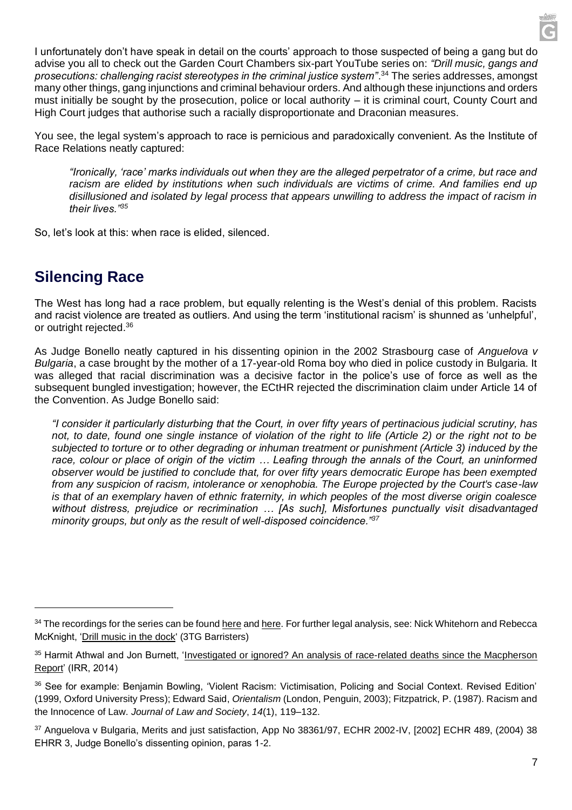I unfortunately don't have speak in detail on the courts' approach to those suspected of being a gang but do advise you all to check out the Garden Court Chambers six-part YouTube series on: *"Drill music, gangs and prosecutions: challenging racist stereotypes in the criminal justice system"*. <sup>34</sup> The series addresses, amongst many other things, gang injunctions and criminal behaviour orders. And although these injunctions and orders must initially be sought by the prosecution, police or local authority – it is criminal court, County Court and High Court judges that authorise such a racially disproportionate and Draconian measures.

You see, the legal system's approach to race is pernicious and paradoxically convenient. As the Institute of Race Relations neatly captured:

*"Ironically, 'race' marks individuals out when they are the alleged perpetrator of a crime, but race and racism are elided by institutions when such individuals are victims of crime. And families end up disillusioned and isolated by legal process that appears unwilling to address the impact of racism in their lives."<sup>35</sup>*

So, let's look at this: when race is elided, silenced.

#### **Silencing Race**

The West has long had a race problem, but equally relenting is the West's denial of this problem. Racists and racist violence are treated as outliers. And using the term 'institutional racism' is shunned as 'unhelpful', or outright rejected.<sup>36</sup>

As Judge Bonello neatly captured in his dissenting opinion in the 2002 Strasbourg case of *Anguelova v Bulgaria*, a case brought by the mother of a 17-year-old Roma boy who died in police custody in Bulgaria. It was alleged that racial discrimination was a decisive factor in the police's use of force as well as the subsequent bungled investigation; however, the ECtHR rejected the discrimination claim under Article 14 of the Convention. As Judge Bonello said:

*"I consider it particularly disturbing that the Court, in over fifty years of pertinacious judicial scrutiny, has*  not, to date, found one single instance of violation of the right to life (Article 2) or the right not to be *subjected to torture or to other degrading or inhuman treatment or punishment (Article 3) induced by the race, colour or place of origin of the victim … Leafing through the annals of the Court, an uninformed observer would be justified to conclude that, for over fifty years democratic Europe has been exempted from any suspicion of racism, intolerance or xenophobia. The Europe projected by the Court's case-law is that of an exemplary haven of ethnic fraternity, in which peoples of the most diverse origin coalesce without distress, prejudice or recrimination … [As such], Misfortunes punctually visit disadvantaged minority groups, but only as the result of well-disposed coincidence."<sup>37</sup>*

<sup>&</sup>lt;sup>34</sup> The recordings for the series can be found [here](https://www.gardencourtchambers.co.uk/events/drill-music-gangs-and-prosecutions-challenging-racist-stereotypes-in-the-criminal-justice-system) and [here.](https://www.youtube.com/watch?v=ClyuDq0_0ek&list=PLFJbPC3N3gPuJQCWuuopO0LA5Rs9wani0) For further legal analysis, see: Nick Whitehorn and Rebecca McKnight, ['Drill music in the dock'](https://www.3tg.co.uk/library/drill_music_in_the_dock.pdf) (3TG Barristers)

<sup>35</sup> Harmit Athwal and Jon Burnett, ['Investigated or ignored? An analysis of race-related deaths since the Macpherson](https://irr.org.uk/app/uploads/2014/02/Investigated-or-ignored.pdf)  [Report'](https://irr.org.uk/app/uploads/2014/02/Investigated-or-ignored.pdf) (IRR, 2014)

<sup>36</sup> See for example: Benjamin Bowling, 'Violent Racism: Victimisation, Policing and Social Context. Revised Edition' (1999, Oxford University Press); Edward Said, *Orientalism* (London, Penguin, 2003); Fitzpatrick, P. (1987). Racism and the Innocence of Law. *Journal of Law and Society*, *14*(1), 119–132.

<sup>37</sup> Anguelova v Bulgaria, Merits and just satisfaction, App No 38361/97, ECHR 2002-IV, [2002] ECHR 489, (2004) 38 EHRR 3, Judge Bonello's dissenting opinion, paras 1-2.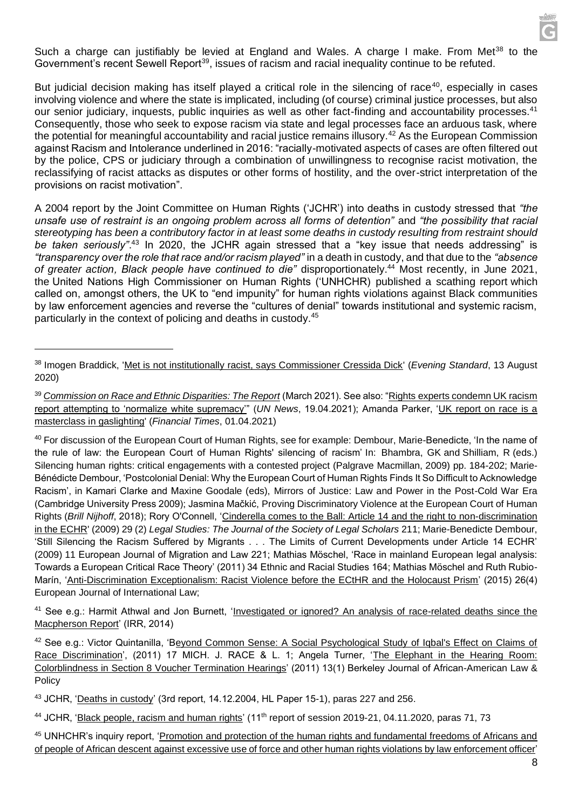

But judicial decision making has itself played a critical role in the silencing of race<sup>40</sup>, especially in cases involving violence and where the state is implicated, including (of course) criminal justice processes, but also our senior judiciary, inquests, public inquiries as well as other fact-finding and accountability processes.<sup>41</sup> Consequently, those who seek to expose racism via state and legal processes face an arduous task, where the potential for meaningful accountability and racial justice remains illusory.<sup>42</sup> As the European Commission against Racism and Intolerance underlined in 2016: "racially-motivated aspects of cases are often filtered out by the police, CPS or judiciary through a combination of unwillingness to recognise racist motivation, the reclassifying of racist attacks as disputes or other forms of hostility, and the over-strict interpretation of the provisions on racist motivation".

A 2004 report by the Joint Committee on Human Rights ('JCHR') into deaths in custody stressed that *"the unsafe use of restraint is an ongoing problem across all forms of detention"* and *"the possibility that racial stereotyping has been a contributory factor in at least some deaths in custody resulting from restraint should*  be taken seriously".<sup>43</sup> In 2020, the JCHR again stressed that a "key issue that needs addressing" is *"transparency over the role that race and/or racism played"* in a death in custody, and that due to the *"absence of greater action, Black people have continued to die"* disproportionately.<sup>44</sup> Most recently, in June 2021, the United Nations High Commissioner on Human Rights ('UNHCHR) published a scathing report which called on, amongst others, the UK to "end impunity" for human rights violations against Black communities by law enforcement agencies and reverse the "cultures of denial" towards institutional and systemic racism, particularly in the context of policing and deaths in custody.<sup>45</sup>

<sup>41</sup> See e.g.: Harmit Athwal and Jon Burnett, ['Investigated or ignored? An analysis of race-related deaths since the](https://irr.org.uk/app/uploads/2014/02/Investigated-or-ignored.pdf)  [Macpherson Report'](https://irr.org.uk/app/uploads/2014/02/Investigated-or-ignored.pdf) (IRR, 2014)

42 See e.g.: Victor Quintanilla, 'Beyond Common Sense: A Social Psychological Study of Iqbal's Effect on Claims of [Race Discrimination',](https://repository.law.umich.edu/mjrl/vol17/iss1/1) (2011) 17 MICH. J. RACE & L. 1; Angela Turner, ['The Elephant in the Hearing Room:](https://doi.org/10.15779/Z38R62Q)  [Colorblindness in Section 8 Voucher Termination Hearings'](https://doi.org/10.15779/Z38R62Q) (2011) 13(1) Berkeley Journal of African-American Law & Policy

<sup>43</sup> JCHR, ['Deaths in custody'](https://publications.parliament.uk/pa/jt200405/jtselect/jtrights/15/1505.htm#a8) (3rd report, 14.12.2004, HL Paper 15-1), paras 227 and 256.

<sup>44</sup> JCHR, ['Black people, racism and human rights'](https://committees.parliament.uk/publications/3376/documents/32359/default/) (11<sup>th</sup> report of session 2019-21, 04.11.2020, paras 71, 73

<sup>45</sup> UNHCHR's inquiry report, ['Promotion and protection of the human rights and fundamental freedoms of Africans and](https://www.ohchr.org/EN/Issues/Racism/Pages/Call-Implementation-HRC-Resolution-43-1.aspx)  [of people of African descent against excessive use of force and other human rights violations by law enforcement officer'](https://www.ohchr.org/EN/Issues/Racism/Pages/Call-Implementation-HRC-Resolution-43-1.aspx)

<sup>38</sup> Imogen Braddick, ['Met is not institutionally racist, says Commissioner Cressida Dick'](https://www.standard.co.uk/news/crime/cressida-dick-met-not-institutionally-racist-a4524421.html) (*Evening Standard*, 13 August 2020)

<sup>39</sup> *[Commission on Race and Ethnic Disparities: The Report](https://assets.publishing.service.gov.uk/government/uploads/system/uploads/attachment_data/file/974507/20210331_-_CRED_Report_-_FINAL_-_Web_Accessible.pdf)* (March 2021). See also: ["Rights experts condemn UK racism](https://news.un.org/en/story/2021/04/1090032)  [report attempting to 'normalize white supremacy'"](https://news.un.org/en/story/2021/04/1090032) (*UN News*, 19.04.2021); Amanda Parker, ['UK report on race is a](https://www.ft.com/content/feca1eb5-a50d-4698-8f43-c4d7c3d207b3)  [masterclass in gaslighting'](https://www.ft.com/content/feca1eb5-a50d-4698-8f43-c4d7c3d207b3) (*Financial Times*, 01.04.2021)

<sup>40</sup> For discussion of the European Court of Human Rights, see for example: Dembour, Marie-Benedicte, 'In the name of the rule of law: the European Court of Human Rights' silencing of racism' In: Bhambra, GK and Shilliam, R (eds.) Silencing human rights: critical engagements with a contested project (Palgrave Macmillan, 2009) pp. 184-202; Marie-Bénédicte Dembour, 'Postcolonial Denial: Why the European Court of Human Rights Finds It So Difficult to Acknowledge Racism', in Kamari Clarke and Maxine Goodale (eds), Mirrors of Justice: Law and Power in the Post-Cold War Era (Cambridge University Press 2009); Jasmina Mačkić, Proving Discriminatory Violence at the European Court of Human Rights (*Brill Nijhoff*, 2018); Rory O'Connell, ['Cinderella comes to the Ball: Article 14 and the right to non-discrimination](file:///C:/Users/lesliet/AppData/Local/Microsoft/Windows/INetCache/Content.Outlook/Q52C16AW/%3chttps:/pure.ulster.ac.uk/ws/portalfiles/portal/11384992/cinderella.pdf)  [in the ECHR'](file:///C:/Users/lesliet/AppData/Local/Microsoft/Windows/INetCache/Content.Outlook/Q52C16AW/%3chttps:/pure.ulster.ac.uk/ws/portalfiles/portal/11384992/cinderella.pdf) (2009) 29 (2) *Legal Studies: The Journal of the Society of Legal Scholars* 211; Marie-Benedicte Dembour, 'Still Silencing the Racism Suffered by Migrants . . . The Limits of Current Developments under Article 14 ECHR' (2009) 11 European Journal of Migration and Law 221; Mathias Möschel, 'Race in mainland European legal analysis: Towards a European Critical Race Theory' (2011) 34 Ethnic and Racial Studies 164; Mathias Möschel and Ruth Rubio-Marín, ['Anti-Discrimination Exceptionalism: Racist Violence before the ECtHR and the Holocaust Prism'](https://doi.org/10.1093/ejil/chv058) (2015) 26(4) European Journal of International Law;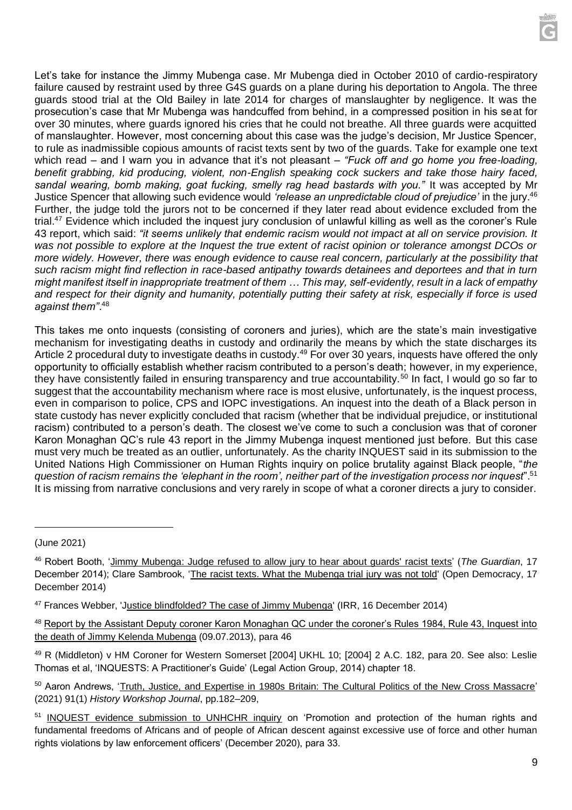Let's take for instance the Jimmy Mubenga case. Mr Mubenga died in October 2010 of cardio-respiratory failure caused by restraint used by three G4S guards on a plane during his deportation to Angola. The three guards stood trial at the Old Bailey in late 2014 for charges of manslaughter by negligence. It was the prosecution's case that Mr Mubenga was handcuffed from behind, in a compressed position in his seat for over 30 minutes, where guards ignored his cries that he could not breathe. All three guards were acquitted of manslaughter. However, most concerning about this case was the judge's decision, Mr Justice Spencer, to rule as inadmissible copious amounts of racist texts sent by two of the guards. Take for example one text which read – and I warn you in advance that it's not pleasant – "Fuck off and go home you free-loading, *benefit grabbing, kid producing, violent, non-English speaking cock suckers and take those hairy faced, sandal wearing, bomb making, goat fucking, smelly rag head bastards with you."* It was accepted by Mr Justice Spencer that allowing such evidence would *'release an unpredictable cloud of prejudice'* in the jury.<sup>46</sup> Further, the judge told the jurors not to be concerned if they later read about evidence excluded from the trial.<sup>47</sup> Evidence which included the inquest jury conclusion of unlawful killing as well as the coroner's Rule 43 report, which said: *"it seems unlikely that endemic racism would not impact at all on service provision. It was not possible to explore at the Inquest the true extent of racist opinion or tolerance amongst DCOs or more widely. However, there was enough evidence to cause real concern, particularly at the possibility that such racism might find reflection in race-based antipathy towards detainees and deportees and that in turn might manifest itself in inappropriate treatment of them … This may, self-evidently, result in a lack of empathy and respect for their dignity and humanity, potentially putting their safety at risk, especially if force is used against them"*. 48

This takes me onto inquests (consisting of coroners and juries), which are the state's main investigative mechanism for investigating deaths in custody and ordinarily the means by which the state discharges its Article 2 procedural duty to investigate deaths in custody.<sup>49</sup> For over 30 years, inquests have offered the only opportunity to officially establish whether racism contributed to a person's death; however, in my experience, they have consistently failed in ensuring transparency and true accountability.<sup>50</sup> In fact, I would go so far to suggest that the accountability mechanism where race is most elusive, unfortunately, is the inquest process, even in comparison to police, CPS and IOPC investigations. An inquest into the death of a Black person in state custody has never explicitly concluded that racism (whether that be individual prejudice, or institutional racism) contributed to a person's death. The closest we've come to such a conclusion was that of coroner Karon Monaghan QC's rule 43 report in the Jimmy Mubenga inquest mentioned just before. But this case must very much be treated as an outlier, unfortunately. As the charity INQUEST said in its submission to the United Nations High Commissioner on Human Rights inquiry on police brutality against Black people, "*the question of racism remains the 'elephant in the room', neither part of the investigation process nor inquest*".<sup>51</sup> It is missing from narrative conclusions and very rarely in scope of what a coroner directs a jury to consider.

<sup>(</sup>June 2021)

<sup>46</sup> Robert Booth, ['Jimmy Mubenga: Judge refused to allow jury to hear about guards' racist texts'](https://www.theguardian.com/uk-news/2014/dec/17/jimmy-mubenga-racist-texts-not-heard-case) (*The Guardian*, 17 December 2014); Clare Sambrook, ['The racist texts. What the Mubenga trial jury was not told'](https://www.opendemocracy.net/en/shine-a-light/racist-texts-what-mubenga-trial-jury-was-not-told/) (Open Democracy, 17 December 2014)

<sup>47</sup> Frances Webber, '[Justice blindfolded? The case of Jimmy Mubenga'](https://irr.org.uk/article/justice-blindfolded-the-case-of-jimmy-mubenga/) (IRR, 16 December 2014)

<sup>48</sup> [Report by the Assistant Deputy coroner Karon Monaghan QC under the coroner's Rules 1984, Rule 43, Inquest into](https://www.42br.com/_files/content/42br-Mubenga.pdf)  [the death of Jimmy Kelenda Mubenga](https://www.42br.com/_files/content/42br-Mubenga.pdf) (09.07.2013), para 46

<sup>49</sup> R (Middleton) v HM Coroner for Western Somerset [2004] UKHL 10; [2004] 2 A.C. 182, para 20. See also: Leslie Thomas et al, 'INQUESTS: A Practitioner's Guide' (Legal Action Group, 2014) chapter 18.

<sup>50</sup> Aaron Andrews, ['Truth, Justice, and Expertise in 1980s Britain: The](https://doi.org/10.1093/hwj/dbab0101) Cultural Politics of the New Cross Massacre' (2021) 91(1) *History Workshop Journal*, pp.182–209,

<sup>51</sup> [INQUEST evidence submission to UNHCHR inquiry](https://www.ohchr.org/Documents/Issues/Racism/RES_43_1/NGOsAndOthers/INQUEST.pdf) on 'Promotion and protection of the human rights and fundamental freedoms of Africans and of people of African descent against excessive use of force and other human rights violations by law enforcement officers' (December 2020), para 33.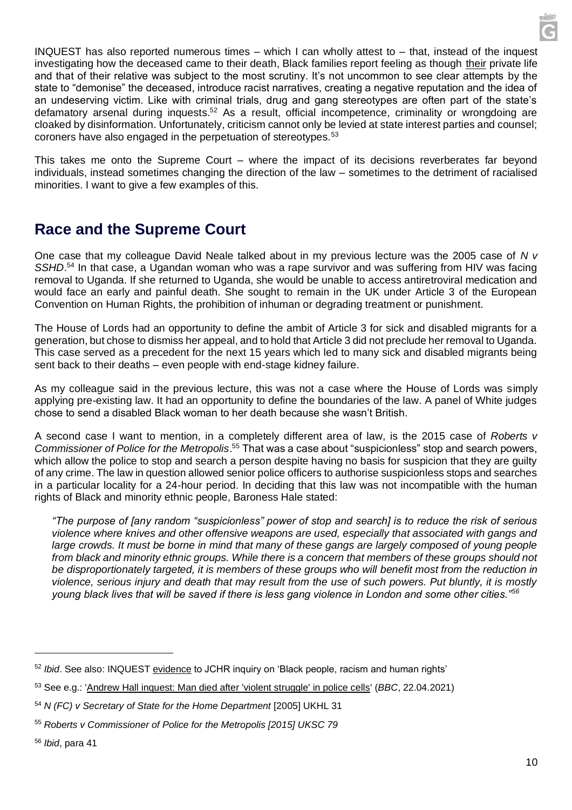INQUEST has also reported numerous times – which I can wholly attest to – that, instead of the inquest investigating how the deceased came to their death, Black families report feeling as though their private life and that of their relative was subject to the most scrutiny. It's not uncommon to see clear attempts by the state to "demonise" the deceased, introduce racist narratives, creating a negative reputation and the idea of an undeserving victim. Like with criminal trials, drug and gang stereotypes are often part of the state's defamatory arsenal during inquests.<sup>52</sup> As a result, official incompetence, criminality or wrongdoing are cloaked by disinformation. Unfortunately, criticism cannot only be levied at state interest parties and counsel; coroners have also engaged in the perpetuation of stereotypes.<sup>53</sup>

This takes me onto the Supreme Court – where the impact of its decisions reverberates far beyond individuals, instead sometimes changing the direction of the law – sometimes to the detriment of racialised minorities. I want to give a few examples of this.

#### **Race and the Supreme Court**

One case that my colleague David Neale talked about in my previous lecture was the 2005 case of *N v*  SSHD.<sup>54</sup> In that case, a Ugandan woman who was a rape survivor and was suffering from HIV was facing removal to Uganda. If she returned to Uganda, she would be unable to access antiretroviral medication and would face an early and painful death. She sought to remain in the UK under Article 3 of the European Convention on Human Rights, the prohibition of inhuman or degrading treatment or punishment.

The House of Lords had an opportunity to define the ambit of Article 3 for sick and disabled migrants for a generation, but chose to dismiss her appeal, and to hold that Article 3 did not preclude her removal to Uganda. This case served as a precedent for the next 15 years which led to many sick and disabled migrants being sent back to their deaths – even people with end-stage kidney failure.

As my colleague said in the previous lecture, this was not a case where the House of Lords was simply applying pre-existing law. It had an opportunity to define the boundaries of the law. A panel of White judges chose to send a disabled Black woman to her death because she wasn't British.

A second case I want to mention, in a completely different area of law, is the 2015 case of *Roberts v Commissioner of Police for the Metropolis*. <sup>55</sup> That was a case about "suspicionless" stop and search powers, which allow the police to stop and search a person despite having no basis for suspicion that they are guilty of any crime. The law in question allowed senior police officers to authorise suspicionless stops and searches in a particular locality for a 24-hour period. In deciding that this law was not incompatible with the human rights of Black and minority ethnic people, Baroness Hale stated:

*"The purpose of [any random "suspicionless" power of stop and search] is to reduce the risk of serious violence where knives and other offensive weapons are used, especially that associated with gangs and large crowds. It must be borne in mind that many of these gangs are largely composed of young people from black and minority ethnic groups. While there is a concern that members of these groups should not be disproportionately targeted, it is members of these groups who will benefit most from the reduction in violence, serious injury and death that may result from the use of such powers. Put bluntly, it is mostly young black lives that will be saved if there is less gang violence in London and some other cities."<sup>56</sup>*

<sup>52</sup> *Ibid*. See also: INQUEST [evidence](https://www.inquest.org.uk/Handlers/Download.ashx?IDMF=dba03282-16ae-48dd-bf31-aee55905492b) to JCHR inquiry on 'Black people, racism and human rights'

<sup>53</sup> See e.g.: ['Andrew Hall inquest: Man died after 'violent struggle' in police cells'](https://www.bbc.co.uk/news/uk-england-leeds-56820467) (*BBC*, 22.04.2021)

<sup>54</sup> *N (FC) v Secretary of State for the Home Department* [2005] UKHL 31

<sup>55</sup> *Roberts v Commissioner of Police for the Metropolis [2015] UKSC 79*

<sup>56</sup> *Ibid*, para 41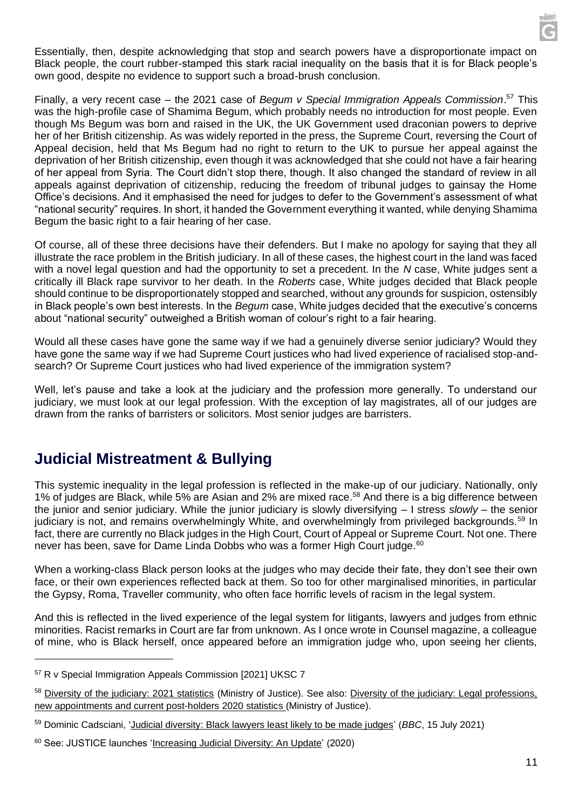Essentially, then, despite acknowledging that stop and search powers have a disproportionate impact on Black people, the court rubber-stamped this stark racial inequality on the basis that it is for Black people's own good, despite no evidence to support such a broad-brush conclusion.

Finally, a very recent case – the 2021 case of *Begum v Special Immigration Appeals Commission*. <sup>57</sup> This was the high-profile case of Shamima Begum, which probably needs no introduction for most people. Even though Ms Begum was born and raised in the UK, the UK Government used draconian powers to deprive her of her British citizenship. As was widely reported in the press, the Supreme Court, reversing the Court of Appeal decision, held that Ms Begum had no right to return to the UK to pursue her appeal against the deprivation of her British citizenship, even though it was acknowledged that she could not have a fair hearing of her appeal from Syria. The Court didn't stop there, though. It also changed the standard of review in all appeals against deprivation of citizenship, reducing the freedom of tribunal judges to gainsay the Home Office's decisions. And it emphasised the need for judges to defer to the Government's assessment of what "national security" requires. In short, it handed the Government everything it wanted, while denying Shamima Begum the basic right to a fair hearing of her case.

Of course, all of these three decisions have their defenders. But I make no apology for saying that they all illustrate the race problem in the British judiciary. In all of these cases, the highest court in the land was faced with a novel legal question and had the opportunity to set a precedent. In the *N* case, White judges sent a critically ill Black rape survivor to her death. In the *Roberts* case, White judges decided that Black people should continue to be disproportionately stopped and searched, without any grounds for suspicion, ostensibly in Black people's own best interests. In the *Begum* case, White judges decided that the executive's concerns about "national security" outweighed a British woman of colour's right to a fair hearing.

Would all these cases have gone the same way if we had a genuinely diverse senior judiciary? Would they have gone the same way if we had Supreme Court justices who had lived experience of racialised stop-andsearch? Or Supreme Court justices who had lived experience of the immigration system?

Well, let's pause and take a look at the judiciary and the profession more generally. To understand our judiciary, we must look at our legal profession. With the exception of lay magistrates, all of our judges are drawn from the ranks of barristers or solicitors. Most senior judges are barristers.

#### **Judicial Mistreatment & Bullying**

This systemic inequality in the legal profession is reflected in the make-up of our judiciary. Nationally, only 1% of judges are Black, while 5% are Asian and 2% are mixed race.<sup>58</sup> And there is a big difference between the junior and senior judiciary. While the junior judiciary is slowly diversifying – I stress *slowly* – the senior judiciary is not, and remains overwhelmingly White, and overwhelmingly from privileged backgrounds.<sup>59</sup> In fact, there are currently no Black judges in the High Court, Court of Appeal or Supreme Court. Not one. There never has been, save for Dame Linda Dobbs who was a former High Court judge.<sup>60</sup>

When a working-class Black person looks at the judges who may decide their fate, they don't see their own face, or their own experiences reflected back at them. So too for other marginalised minorities, in particular the Gypsy, Roma, Traveller community, who often face horrific levels of racism in the legal system.

And this is reflected in the lived experience of the legal system for litigants, lawyers and judges from ethnic minorities. Racist remarks in Court are far from unknown. As I once wrote in Counsel magazine, a colleague of mine, who is Black herself, once appeared before an immigration judge who, upon seeing her clients,

<sup>57</sup> R v Special Immigration Appeals Commission [2021] UKSC 7

<sup>58</sup> [Diversity of the judiciary: 2021 statistics](https://www.gov.uk/government/statistics/diversity-of-the-judiciary-2021-statistics) (Ministry of Justice). See also: [Diversity of the judiciary: Legal professions,](https://assets.publishing.service.gov.uk/government/uploads/system/uploads/attachment_data/file/918529/diversity-of-the-judiciary-2020-statistics-web.pdf)  [new appointments and current post-holders](https://assets.publishing.service.gov.uk/government/uploads/system/uploads/attachment_data/file/918529/diversity-of-the-judiciary-2020-statistics-web.pdf) 2020 statistics (Ministry of Justice).

<sup>59</sup> Dominic Cadsciani, ['Judicial diversity: Black lawyers least likely to be made judges'](https://www.bbc.co.uk/news/uk-57851055) (*BBC*, 15 July 2021)

<sup>60</sup> See: JUSTICE launches ['Increasing Judicial Diversity: An Update'](https://justice.org.uk/justice-launches-report-increasing-judicial-diversity-an-update/) (2020)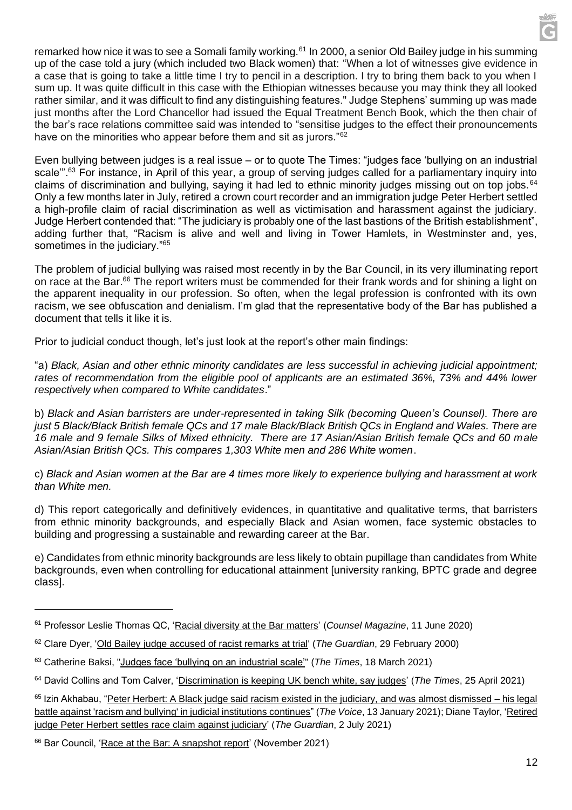remarked how nice it was to see a Somali family working.<sup>61</sup> In 2000, a senior Old Bailey judge in his summing up of the case told a jury (which included two Black women) that: "When a lot of witnesses give evidence in a case that is going to take a little time I try to pencil in a description. I try to bring them back to you when I sum up. It was quite difficult in this case with the Ethiopian witnesses because you may think they all looked rather similar, and it was difficult to find any distinguishing features." Judge Stephens' summing up was made just months after the Lord Chancellor had issued the Equal Treatment Bench Book, which the then chair of the bar's race relations committee said was intended to "sensitise judges to the effect their pronouncements have on the minorities who appear before them and sit as jurors."<sup>62</sup>

Even bullying between judges is a real issue – or to quote The Times: "judges face 'bullying on an industrial scale"<sup>63</sup> For instance, in April of this year, a group of serving judges called for a parliamentary inquiry into claims of discrimination and bullying, saying it had led to ethnic minority judges missing out on top jobs. <sup>64</sup> Only a few months later in July, retired a crown court recorder and an immigration judge Peter Herbert settled a high-profile claim of racial discrimination as well as victimisation and harassment against the judiciary. Judge Herbert contended that: "The judiciary is probably one of the last bastions of the British establishment", adding further that, "Racism is alive and well and living in Tower Hamlets, in Westminster and, yes, sometimes in the judiciary."<sup>65</sup>

The problem of judicial bullying was raised most recently in by the Bar Council, in its very illuminating report on race at the Bar.<sup>66</sup> The report writers must be commended for their frank words and for shining a light on the apparent inequality in our profession. So often, when the legal profession is confronted with its own racism, we see obfuscation and denialism. I'm glad that the representative body of the Bar has published a document that tells it like it is.

Prior to judicial conduct though, let's just look at the report's other main findings:

"a) *Black, Asian and other ethnic minority candidates are less successful in achieving judicial appointment; rates of recommendation from the eligible pool of applicants are an estimated 36%, 73% and 44% lower respectively when compared to White candidates*."

b) *Black and Asian barristers are under-represented in taking Silk (becoming Queen's Counsel). There are just 5 Black/Black British female QCs and 17 male Black/Black British QCs in England and Wales. There are 16 male and 9 female Silks of Mixed ethnicity. There are 17 Asian/Asian British female QCs and 60 male Asian/Asian British QCs. This compares 1,303 White men and 286 White women*.

c) *Black and Asian women at the Bar are 4 times more likely to experience bullying and harassment at work than White men.* 

d) This report categorically and definitively evidences, in quantitative and qualitative terms, that barristers from ethnic minority backgrounds, and especially Black and Asian women, face systemic obstacles to building and progressing a sustainable and rewarding career at the Bar.

e) Candidates from ethnic minority backgrounds are less likely to obtain pupillage than candidates from White backgrounds, even when controlling for educational attainment [university ranking, BPTC grade and degree class].

<sup>61</sup> Professor Leslie Thomas QC, ['Racial diversity at the Bar matters'](https://www.counselmagazine.co.uk/articles/racial-diversity-at-the-bar-matters) (*Counsel Magazine*, 11 June 2020)

<sup>62</sup> Clare Dyer, ['Old Bailey judge accused of racist remarks at trial'](https://www.theguardian.com/uk/2000/feb/29/race.world) (*The Guardian*, 29 February 2000)

<sup>63</sup> Catherine Baksi, ["Judges face 'bullying on an industrial scale'"](https://www.thetimes.co.uk/article/judges-face-bullying-on-an-industrial-scale-cn2vb32qd) (*The Times*, 18 March 2021)

<sup>64</sup> David Collins and Tom Calver, ['Discrimination is keeping UK bench white, say judges'](https://www.thetimes.co.uk/article/discrimination-is-keeping-uk-bench-white-say-judges-88hv8db0r) (*The Times*, 25 April 2021)

<sup>&</sup>lt;sup>65</sup> Izin Akhabau, ["Peter Herbert: A Black judge said racism existed in the judiciary, and was almost dismissed –](https://www.voice-online.co.uk/news/2021/01/13/peter-herbert-a-black-judge-said-racism-existed-in-the-judiciary-and-was-almost-dismissed-his-legal-battle-against-racism-and-bullying-in-judicial-institutions-continues/) his legal [battle against 'racism and bullying' in judicial institutions continues"](https://www.voice-online.co.uk/news/2021/01/13/peter-herbert-a-black-judge-said-racism-existed-in-the-judiciary-and-was-almost-dismissed-his-legal-battle-against-racism-and-bullying-in-judicial-institutions-continues/) (*The Voice*, 13 January 2021); Diane Taylor, ['Retired](https://www.theguardian.com/law/2021/jul/02/retired-judge-peter-herbert-settles-race-claim-judiciary-black)  [judge Peter Herbert settles race claim against judiciary'](https://www.theguardian.com/law/2021/jul/02/retired-judge-peter-herbert-settles-race-claim-judiciary-black) (*The Guardian*, 2 July 2021)

<sup>66</sup> Bar Council, ['Race at the Bar: A snapshot report'](https://www.barcouncil.org.uk/uploads/assets/d821c952-ec38-41b2-a41ebeea362b28e5/Race-at-the-Bar-Report-2021.pdf) (November 2021)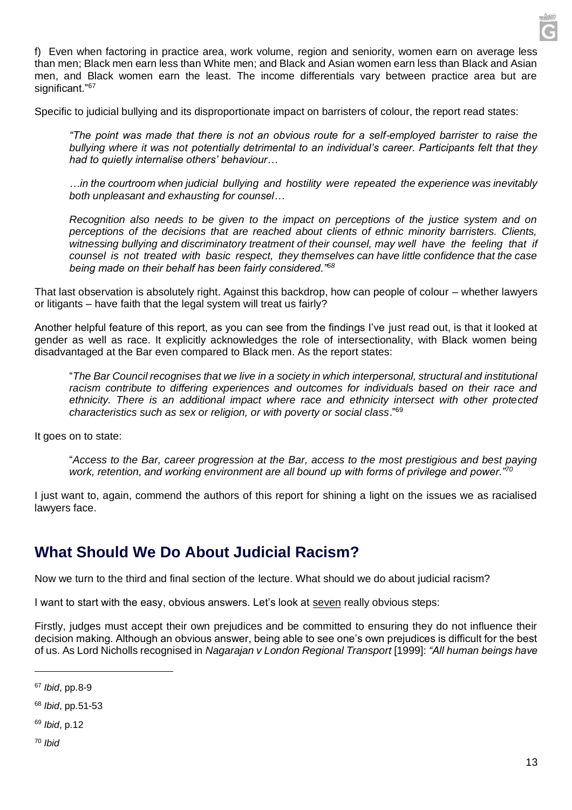

f) Even when factoring in practice area, work volume, region and seniority, women earn on average less than men; Black men earn less than White men; and Black and Asian women earn less than Black and Asian men, and Black women earn the least. The income differentials vary between practice area but are significant."<sup>67</sup>

Specific to judicial bullying and its disproportionate impact on barristers of colour, the report read states:

*"The point was made that there is not an obvious route for a self-employed barrister to raise the bullying where it was not potentially detrimental to an individual's career. Participants felt that they had to quietly internalise others' behaviour…*

*…in the courtroom when judicial bullying and hostility were repeated the experience was inevitably both unpleasant and exhausting for counsel…*

*Recognition also needs to be given to the impact on perceptions of the justice system and on perceptions of the decisions that are reached about clients of ethnic minority barristers. Clients, witnessing bullying and discriminatory treatment of their counsel, may well have the feeling that if counsel is not treated with basic respect, they themselves can have little confidence that the case being made on their behalf has been fairly considered."<sup>68</sup>*

That last observation is absolutely right. Against this backdrop, how can people of colour – whether lawyers or litigants – have faith that the legal system will treat us fairly?

Another helpful feature of this report, as you can see from the findings I've just read out, is that it looked at gender as well as race. It explicitly acknowledges the role of intersectionality, with Black women being disadvantaged at the Bar even compared to Black men. As the report states:

"*The Bar Council recognises that we live in a society in which interpersonal, structural and institutional racism contribute to differing experiences and outcomes for individuals based on their race and ethnicity. There is an additional impact where race and ethnicity intersect with other protected characteristics such as sex or religion, or with poverty or social class*."<sup>69</sup>

It goes on to state:

"*Access to the Bar, career progression at the Bar, access to the most prestigious and best paying work, retention, and working environment are all bound up with forms of privilege and power."<sup>70</sup>*

I just want to, again, commend the authors of this report for shining a light on the issues we as racialised lawyers face.

#### **What Should We Do About Judicial Racism?**

Now we turn to the third and final section of the lecture. What should we do about judicial racism?

I want to start with the easy, obvious answers. Let's look at seven really obvious steps:

Firstly, judges must accept their own prejudices and be committed to ensuring they do not influence their decision making. Although an obvious answer, being able to see one's own prejudices is difficult for the best of us. As Lord Nicholls recognised in *Nagarajan v London Regional Transport* [1999]: *"All human beings have* 

- <sup>69</sup> *Ibid*, p.12
- <sup>70</sup> *Ibid*

<sup>67</sup> *Ibid*, pp.8-9

<sup>68</sup> *Ibid*, pp.51-53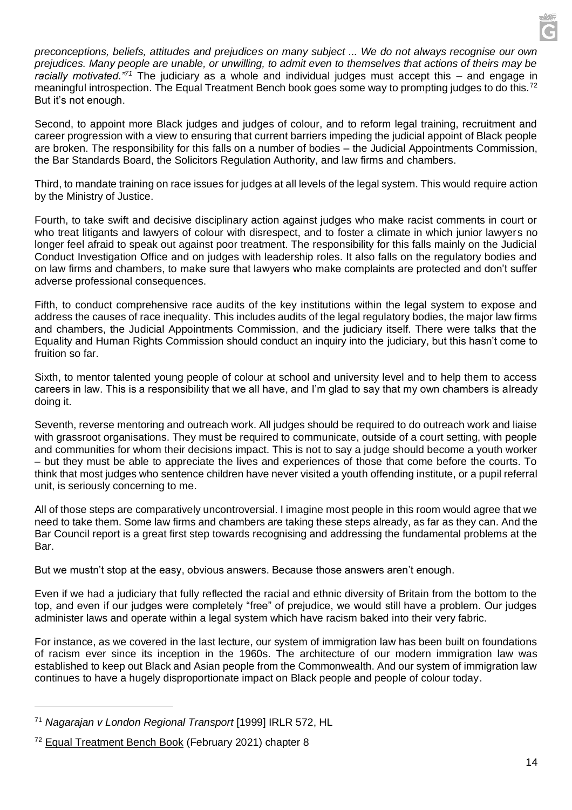*preconceptions, beliefs, attitudes and prejudices on many subject ... We do not always recognise our own prejudices. Many people are unable, or unwilling, to admit even to themselves that actions of theirs may be racially motivated."<sup>71</sup>* The judiciary as a whole and individual judges must accept this – and engage in meaningful introspection. The Equal Treatment Bench book goes some way to prompting judges to do this.<sup>72</sup> But it's not enough.

Second, to appoint more Black judges and judges of colour, and to reform legal training, recruitment and career progression with a view to ensuring that current barriers impeding the judicial appoint of Black people are broken. The responsibility for this falls on a number of bodies – the Judicial Appointments Commission, the Bar Standards Board, the Solicitors Regulation Authority, and law firms and chambers.

Third, to mandate training on race issues for judges at all levels of the legal system. This would require action by the Ministry of Justice.

Fourth, to take swift and decisive disciplinary action against judges who make racist comments in court or who treat litigants and lawyers of colour with disrespect, and to foster a climate in which junior lawyers no longer feel afraid to speak out against poor treatment. The responsibility for this falls mainly on the Judicial Conduct Investigation Office and on judges with leadership roles. It also falls on the regulatory bodies and on law firms and chambers, to make sure that lawyers who make complaints are protected and don't suffer adverse professional consequences.

Fifth, to conduct comprehensive race audits of the key institutions within the legal system to expose and address the causes of race inequality. This includes audits of the legal regulatory bodies, the major law firms and chambers, the Judicial Appointments Commission, and the judiciary itself. There were talks that the Equality and Human Rights Commission should conduct an inquiry into the judiciary, but this hasn't come to fruition so far.

Sixth, to mentor talented young people of colour at school and university level and to help them to access careers in law. This is a responsibility that we all have, and I'm glad to say that my own chambers is already doing it.

Seventh, reverse mentoring and outreach work. All judges should be required to do outreach work and liaise with grassroot organisations. They must be required to communicate, outside of a court setting, with people and communities for whom their decisions impact. This is not to say a judge should become a youth worker – but they must be able to appreciate the lives and experiences of those that come before the courts. To think that most judges who sentence children have never visited a youth offending institute, or a pupil referral unit, is seriously concerning to me.

All of those steps are comparatively uncontroversial. I imagine most people in this room would agree that we need to take them. Some law firms and chambers are taking these steps already, as far as they can. And the Bar Council report is a great first step towards recognising and addressing the fundamental problems at the Bar.

But we mustn't stop at the easy, obvious answers. Because those answers aren't enough.

Even if we had a judiciary that fully reflected the racial and ethnic diversity of Britain from the bottom to the top, and even if our judges were completely "free" of prejudice, we would still have a problem. Our judges administer laws and operate within a legal system which have racism baked into their very fabric.

For instance, as we covered in the last lecture, our system of immigration law has been built on foundations of racism ever since its inception in the 1960s. The architecture of our modern immigration law was established to keep out Black and Asian people from the Commonwealth. And our system of immigration law continues to have a hugely disproportionate impact on Black people and people of colour today.

<sup>71</sup> *Nagarajan v London Regional Transport* [1999] IRLR 572, HL

<sup>72</sup> [Equal Treatment Bench Book](https://www.judiciary.uk/wp-content/uploads/2021/02/Equal-Treatment-Bench-Book-February-2021-1.pdf) (February 2021) chapter 8